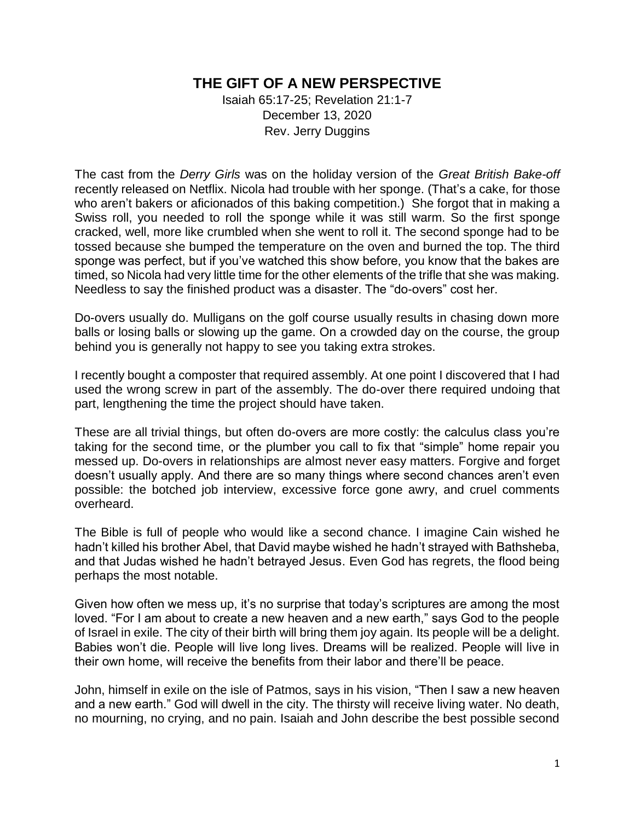## **THE GIFT OF A NEW PERSPECTIVE**

Isaiah 65:17-25; Revelation 21:1-7 December 13, 2020 Rev. Jerry Duggins

The cast from the *Derry Girls* was on the holiday version of the *Great British Bake-off* recently released on Netflix. Nicola had trouble with her sponge. (That's a cake, for those who aren't bakers or aficionados of this baking competition.) She forgot that in making a Swiss roll, you needed to roll the sponge while it was still warm. So the first sponge cracked, well, more like crumbled when she went to roll it. The second sponge had to be tossed because she bumped the temperature on the oven and burned the top. The third sponge was perfect, but if you've watched this show before, you know that the bakes are timed, so Nicola had very little time for the other elements of the trifle that she was making. Needless to say the finished product was a disaster. The "do-overs" cost her.

Do-overs usually do. Mulligans on the golf course usually results in chasing down more balls or losing balls or slowing up the game. On a crowded day on the course, the group behind you is generally not happy to see you taking extra strokes.

I recently bought a composter that required assembly. At one point I discovered that I had used the wrong screw in part of the assembly. The do-over there required undoing that part, lengthening the time the project should have taken.

These are all trivial things, but often do-overs are more costly: the calculus class you're taking for the second time, or the plumber you call to fix that "simple" home repair you messed up. Do-overs in relationships are almost never easy matters. Forgive and forget doesn't usually apply. And there are so many things where second chances aren't even possible: the botched job interview, excessive force gone awry, and cruel comments overheard.

The Bible is full of people who would like a second chance. I imagine Cain wished he hadn't killed his brother Abel, that David maybe wished he hadn't strayed with Bathsheba, and that Judas wished he hadn't betrayed Jesus. Even God has regrets, the flood being perhaps the most notable.

Given how often we mess up, it's no surprise that today's scriptures are among the most loved. "For I am about to create a new heaven and a new earth," says God to the people of Israel in exile. The city of their birth will bring them joy again. Its people will be a delight. Babies won't die. People will live long lives. Dreams will be realized. People will live in their own home, will receive the benefits from their labor and there'll be peace.

John, himself in exile on the isle of Patmos, says in his vision, "Then I saw a new heaven and a new earth." God will dwell in the city. The thirsty will receive living water. No death, no mourning, no crying, and no pain. Isaiah and John describe the best possible second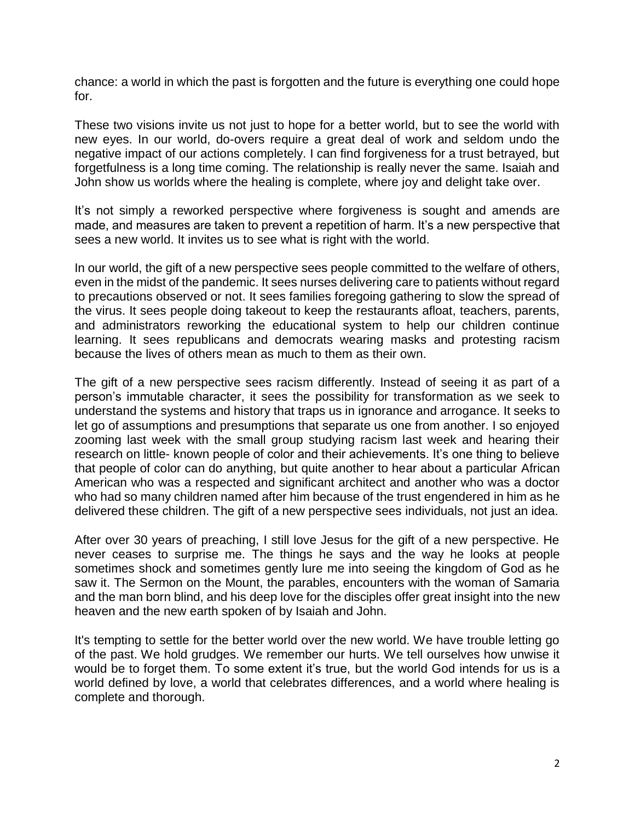chance: a world in which the past is forgotten and the future is everything one could hope for.

These two visions invite us not just to hope for a better world, but to see the world with new eyes. In our world, do-overs require a great deal of work and seldom undo the negative impact of our actions completely. I can find forgiveness for a trust betrayed, but forgetfulness is a long time coming. The relationship is really never the same. Isaiah and John show us worlds where the healing is complete, where joy and delight take over.

It's not simply a reworked perspective where forgiveness is sought and amends are made, and measures are taken to prevent a repetition of harm. It's a new perspective that sees a new world. It invites us to see what is right with the world.

In our world, the gift of a new perspective sees people committed to the welfare of others, even in the midst of the pandemic. It sees nurses delivering care to patients without regard to precautions observed or not. It sees families foregoing gathering to slow the spread of the virus. It sees people doing takeout to keep the restaurants afloat, teachers, parents, and administrators reworking the educational system to help our children continue learning. It sees republicans and democrats wearing masks and protesting racism because the lives of others mean as much to them as their own.

The gift of a new perspective sees racism differently. Instead of seeing it as part of a person's immutable character, it sees the possibility for transformation as we seek to understand the systems and history that traps us in ignorance and arrogance. It seeks to let go of assumptions and presumptions that separate us one from another. I so enjoyed zooming last week with the small group studying racism last week and hearing their research on little- known people of color and their achievements. It's one thing to believe that people of color can do anything, but quite another to hear about a particular African American who was a respected and significant architect and another who was a doctor who had so many children named after him because of the trust engendered in him as he delivered these children. The gift of a new perspective sees individuals, not just an idea.

After over 30 years of preaching, I still love Jesus for the gift of a new perspective. He never ceases to surprise me. The things he says and the way he looks at people sometimes shock and sometimes gently lure me into seeing the kingdom of God as he saw it. The Sermon on the Mount, the parables, encounters with the woman of Samaria and the man born blind, and his deep love for the disciples offer great insight into the new heaven and the new earth spoken of by Isaiah and John.

It's tempting to settle for the better world over the new world. We have trouble letting go of the past. We hold grudges. We remember our hurts. We tell ourselves how unwise it would be to forget them. To some extent it's true, but the world God intends for us is a world defined by love, a world that celebrates differences, and a world where healing is complete and thorough.